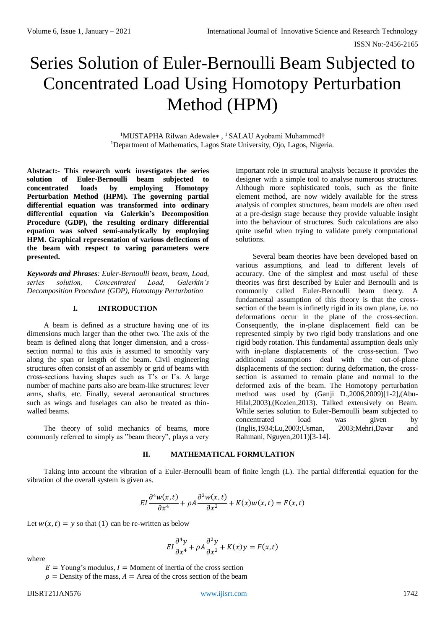# Series Solution of Euler-Bernoulli Beam Subjected to Concentrated Load Using Homotopy Perturbation Method (HPM)

<sup>1</sup>MUSTAPHA Rilwan Adewale∗ , <sup>1</sup>SALAU Ayobami Muhammed† <sup>1</sup>Department of Mathematics, Lagos State University, Ojo, Lagos, Nigeria.

**Abstract:- This research work investigates the series solution of Euler-Bernoulli beam subjected to concentrated loads by employing Homotopy Perturbation Method (HPM). The governing partial differential equation was transformed into ordinary differential equation via Galerkin's Decomposition Procedure (GDP), the resulting ordinary differential equation was solved semi-analytically by employing HPM. Graphical representation of various deflections of the beam with respect to varing parameters were presented.** 

*Keywords and Phrases: Euler-Bernoulli beam, beam, Load, series solution, Concentrated Load, Galerkin's Decomposition Procedure (GDP), Homotopy Perturbation*

# **I. INTRODUCTION**

A beam is defined as a structure having one of its dimensions much larger than the other two. The axis of the beam is defined along that longer dimension, and a crosssection normal to this axis is assumed to smoothly vary along the span or length of the beam. Civil engineering structures often consist of an assembly or grid of beams with cross-sections having shapes such as T's or I's. A large number of machine parts also are beam-like structures: lever arms, shafts, etc. Finally, several aeronautical structures such as wings and fuselages can also be treated as thinwalled beams.

The theory of solid mechanics of beams, more commonly referred to simply as "beam theory", plays a very

important role in structural analysis because it provides the designer with a simple tool to analyse numerous structures. Although more sophisticated tools, such as the finite element method, are now widely available for the stress analysis of complex structures, beam models are often used at a pre-design stage because they provide valuable insight into the behaviour of structures. Such calculations are also quite useful when trying to validate purely computational solutions.

Several beam theories have been developed based on various assumptions, and lead to different levels of accuracy. One of the simplest and most useful of these theories was first described by Euler and Bernoulli and is commonly called Euler-Bernoulli beam theory. A fundamental assumption of this theory is that the crosssection of the beam is infinetly rigid in its own plane, i.e. no deformations occur in the plane of the cross-section. Consequently, the in-plane displacement field can be represented simply by two rigid body translations and one rigid body rotation. This fundamental assumption deals only with in-plane displacements of the cross-section. Two additional assumptions deal with the out-of-plane displacements of the section: during deformation, the crosssection is assumed to remain plane and normal to the deformed axis of the beam. The Homotopy perturbation method was used by (Ganji D.,2006,2009)[1-2],(Abu-Hilal,2003),(Kozien,2013). Talked extensively on Beam. While series solution to Euler-Bernoulli beam subjected to concentrated load was given by (Inglis,1934;Lu,2003;Usman, 2003;Mehri,Davar and Rahmani, Nguyen,2011)[3-14].

## **II. MATHEMATICAL FORMULATION**

Taking into account the vibration of a Euler-Bernoulli beam of finite length (L). The partial differential equation for the vibration of the overall system is given as.

$$
EI\frac{\partial^4 w(x,t)}{\partial x^4} + \rho A \frac{\partial^2 w(x,t)}{\partial x^2} + K(x)w(x,t) = F(x,t)
$$

Let  $w(x,t) = y$  so that (1) can be re-written as below

$$
EI\frac{\partial^4 y}{\partial x^4} + \rho A \frac{\partial^2 y}{\partial x^2} + K(x)y = F(x, t)
$$

where

 $E =$  Young's modulus,  $I =$  Moment of inertia of the cross section

 $\rho$  = Density of the mass,  $A$  = Area of the cross section of the beam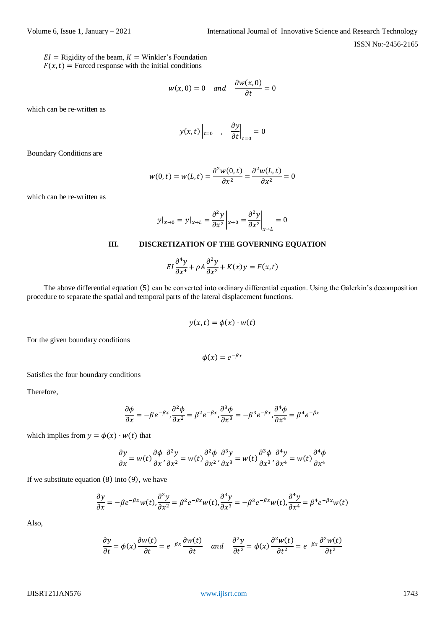$EI =$  Rigidity of the beam,  $K =$  Winkler's Foundation  $F(x,t)$  = Forced response with the initial conditions

$$
w(x, 0) = 0 \quad and \quad \frac{\partial w(x, 0)}{\partial t} = 0
$$

which can be re-written as

$$
y(x,t)\Big|_{t=0}
$$
,  $\frac{\partial y}{\partial t}\Big|_{t=0}=0$ 

Boundary Conditions are

$$
w(0,t) = w(L,t) = \frac{\partial^2 w(0,t)}{\partial x^2} = \frac{\partial^2 w(L,t)}{\partial x^2} = 0
$$

which can be re-written as

$$
y|_{x\to 0} = y|_{x\to L} = \frac{\partial^2 y}{\partial x^2}\bigg|_{x\to 0} = \frac{\partial^2 y}{\partial x^2}\bigg|_{x\to L} = 0
$$

# **III. DISCRETIZATION OF THE GOVERNING EQUATION**

$$
EI\frac{\partial^4 y}{\partial x^4} + \rho A \frac{\partial^2 y}{\partial x^2} + K(x)y = F(x, t)
$$

The above differential equation (5) can be converted into ordinary differential equation. Using the Galerkin's decomposition procedure to separate the spatial and temporal parts of the lateral displacement functions.

$$
y(x,t) = \phi(x) \cdot w(t)
$$

For the given boundary conditions

$$
\phi(x)=e^{-\beta x}
$$

Satisfies the four boundary conditions

Therefore,

$$
\frac{\partial \phi}{\partial x} = -\beta e^{-\beta x}, \frac{\partial^2 \phi}{\partial x^2} = \beta^2 e^{-\beta x}, \frac{\partial^3 \phi}{\partial x^3} = -\beta^3 e^{-\beta x}, \frac{\partial^4 \phi}{\partial x^4} = \beta^4 e^{-\beta x}
$$

which implies from  $y = \phi(x) \cdot w(t)$  that

$$
\frac{\partial y}{\partial x} = w(t) \frac{\partial \phi}{\partial x}, \frac{\partial^2 y}{\partial x^2} = w(t) \frac{\partial^2 \phi}{\partial x^2}, \frac{\partial^3 y}{\partial x^3} = w(t) \frac{\partial^3 \phi}{\partial x^3}, \frac{\partial^4 y}{\partial x^4} = w(t) \frac{\partial^4 \phi}{\partial x^4}
$$

If we substitute equation  $(8)$  into  $(9)$ , we have

$$
\frac{\partial y}{\partial x} = -\beta e^{-\beta x} w(t), \frac{\partial^2 y}{\partial x^2} = \beta^2 e^{-\beta x} w(t), \frac{\partial^3 y}{\partial x^3} = -\beta^3 e^{-\beta x} w(t), \frac{\partial^4 y}{\partial x^4} = \beta^4 e^{-\beta x} w(t)
$$

Also,

$$
\frac{\partial y}{\partial t} = \phi(x) \frac{\partial w(t)}{\partial t} = e^{-\beta x} \frac{\partial w(t)}{\partial t} \quad \text{and} \quad \frac{\partial^2 y}{\partial t^2} = \phi(x) \frac{\partial^2 w(t)}{\partial t^2} = e^{-\beta x} \frac{\partial^2 w(t)}{\partial t^2}
$$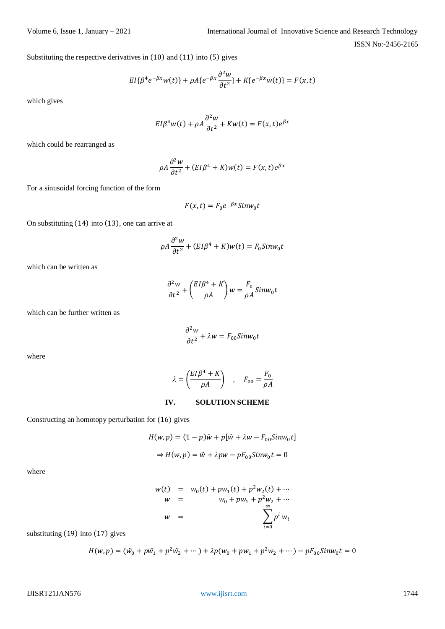Substituting the respective derivatives in (10) and (11) into (5) gives

$$
EI{\beta^4 e^{-\beta x}w(t)} + \rho A{e^{-\beta x} \frac{\partial^2 w}{\partial t^2}} + K{e^{-\beta x}w(t)} = F(x, t)
$$

which gives

$$
EI\beta^4 w(t) + \rho A \frac{\partial^2 w}{\partial t^2} + Kw(t) = F(x, t)e^{\beta x}
$$

which could be rearranged as

$$
\rho A \frac{\partial^2 w}{\partial t^2} + (EI\beta^4 + K)w(t) = F(x, t)e^{\beta x}
$$

For a sinusoidal forcing function of the form

$$
F(x,t) = F_0 e^{-\beta x} \sin w_0 t
$$

On substituting (14) into (13), one can arrive at

$$
\rho A \frac{\partial^2 w}{\partial t^2} + (EI\beta^4 + K)w(t) = F_0 \sin w_0 t
$$

which can be written as

$$
\frac{\partial^2 w}{\partial t^2} + \left(\frac{EI\beta^4 + K}{\rho A}\right) w = \frac{F_0}{\rho A} Sinw_0 t
$$

which can be further written as

$$
\frac{\partial^2 w}{\partial t^2} + \lambda w = F_{00} \sin w_0 t
$$

where

$$
\lambda = \left(\frac{EI\beta^4 + K}{\rho A}\right) , \quad F_{00} = \frac{F_0}{\rho A}
$$

### **IV. SOLUTION SCHEME**

Constructing an homotopy perturbation for (16) gives

$$
H(w, p) = (1 - p)\ddot{w} + p[\ddot{w} + \lambda w - F_{00}Simw_0 t]
$$

$$
\Rightarrow H(w, p) = \ddot{w} + \lambda pw - pF_{00}Simw_0 t = 0
$$

where

$$
w(t) = w_0(t) + pw_1(t) + p^2 w_2(t) + \cdots
$$
  
\n
$$
w = w_0 + pw_1 + p^2 w_2 + \cdots
$$
  
\n
$$
w = \sum_{i=0}^{\infty} p^i w_i
$$

substituting (19) into (17) gives

$$
H(w, p) = (\ddot{w_0} + p\ddot{w_1} + p^2\ddot{w_2} + \cdots) + \lambda p(w_0 + pw_1 + p^2w_2 + \cdots) - pF_{00}Simw_0 t = 0
$$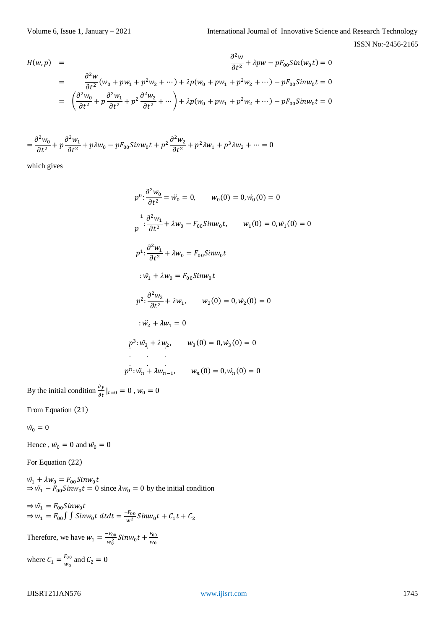$$
H(w, p) = \frac{\partial^2 w}{\partial t^2} + \lambda p w - p F_{00} Sin(w_0 t) = 0
$$
  
= 
$$
\frac{\partial^2 w}{\partial t^2} (w_0 + p w_1 + p^2 w_2 + \cdots) + \lambda p (w_0 + p w_1 + p^2 w_2 + \cdots) - p F_{00} Sinw_0 t = 0
$$
  
= 
$$
\left( \frac{\partial^2 w_0}{\partial t^2} + p \frac{\partial^2 w_1}{\partial t^2} + p^2 \frac{\partial^2 w_2}{\partial t^2} + \cdots \right) + \lambda p (w_0 + p w_1 + p^2 w_2 + \cdots) - p F_{00} Sinw_0 t = 0
$$

$$
=\frac{\partial^2 w_0}{\partial t^2} + p \frac{\partial^2 w_1}{\partial t^2} + p \lambda w_0 - p F_{00} Simw_0 t + p^2 \frac{\partial^2 w_2}{\partial t^2} + p^2 \lambda w_1 + p^3 \lambda w_2 + \dots = 0
$$

which gives

$$
p^{0} \n\cdot \frac{\partial^{2} w_{0}}{\partial t^{2}} = \ddot{w}_{0} = 0, \qquad w_{0}(0) = 0, \dot{w}_{0}(0) = 0
$$
\n
$$
p^{1} \n\cdot \frac{\partial^{2} w_{1}}{\partial t^{2}} + \lambda w_{0} - F_{00} Sinw_{0} t, \qquad w_{1}(0) = 0, \dot{w}_{1}(0) = 0
$$
\n
$$
p^{1} \n\cdot \frac{\partial^{2} w_{1}}{\partial t^{2}} + \lambda w_{0} = F_{00} Sinw_{0} t
$$
\n
$$
\cdot \ddot{w}_{1} + \lambda w_{0} = F_{00} Sinw_{0} t
$$
\n
$$
p^{2} \n\cdot \frac{\partial^{2} w_{2}}{\partial t^{2}} + \lambda w_{1}, \qquad w_{2}(0) = 0, \dot{w}_{2}(0) = 0
$$
\n
$$
\cdot \ddot{w}_{2} + \lambda w_{1} = 0
$$
\n
$$
p^{3} \n\cdot \ddot{w}_{3} + \lambda w_{2}, \qquad w_{3}(0) = 0, \dot{w}_{3}(0) = 0
$$
\n
$$
p^{n} \n\cdot \ddot{w}_{n} + \lambda w_{n-1}, \qquad w_{n}(0) = 0, \dot{w}_{n}(0) = 0
$$

By the initial condition  $\frac{\partial y}{\partial t}|_{t=0} = 0$ ,  $w_0 = 0$ 

From Equation (21)

 $\ddot{w_0}=0$ 

Hence,  $\dot{w}_0 = 0$  and  $\ddot{w}_0 = 0$ 

For Equation (22)

 $\ddot{w_1} + \lambda w_0 = F_{00} Sin w_0 t$  $\Rightarrow$   $\ddot{w}_1 - F_{00}$ Sin $w_0 t = 0$  since  $\lambda w_0 = 0$  by the initial condition

$$
\Rightarrow \ddot{w}_1 = F_{00} Simw_0 t
$$
  
\n
$$
\Rightarrow w_1 = F_{00} \int \int Sinw_0 t dt dt = \frac{-F_{00}}{w^2} Sinw_0 t + C_1 t + C_2
$$

Therefore, we have  $w_1 = \frac{-F_{00}}{w^2}$  $\frac{F_{00}}{w_0^2}$ Sin $w_0 t + \frac{F_{00}}{w_0}$  $w_0$ where  $C_1 = \frac{F_{00}}{W_0}$  $\frac{r_{00}}{w_0}$  and  $C_2 = 0$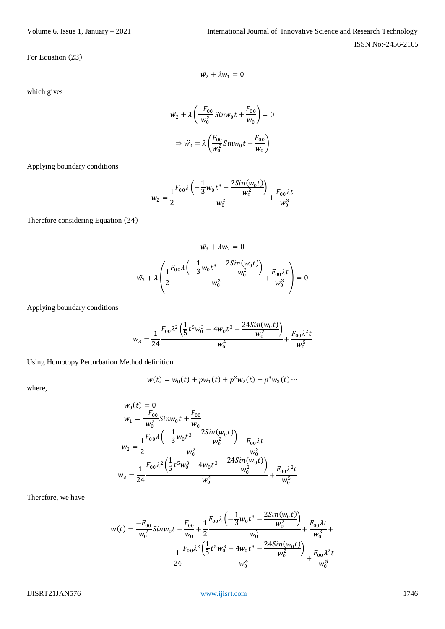which gives

$$
\ddot{w_2} + \lambda \left( \frac{-F_{00}}{w_0^2} \text{Sim} w_0 t + \frac{F_{00}}{w_0} \right) = 0
$$

$$
\Rightarrow \ddot{w_2} = \lambda \left( \frac{F_{00}}{w_0^2} \text{Sim} w_0 t - \frac{F_{00}}{w_0} \right)
$$

 $\ddot{w_2} + \lambda w_1 = 0$ 

Applying boundary conditions

$$
w_2 = \frac{1}{2} \frac{F_{00} \lambda \left(-\frac{1}{3} w_0 t^3 - \frac{2 Sin(w_0 t)}{w_0^2}\right)}{w_0^2} + \frac{F_{00} \lambda t}{w_0^3}
$$

Therefore considering Equation (24)

$$
\ddot{w}_3 + \lambda w_2 = 0
$$
  

$$
\ddot{w}_3 + \lambda \left( \frac{1}{2} \frac{F_{00} \lambda \left( -\frac{1}{3} w_0 t^3 - \frac{2 Sin(w_0 t)}{w_0^2} \right)}{w_0^2} + \frac{F_{00} \lambda t}{w_0^3} \right) = 0
$$

Applying boundary conditions

$$
w_3 = \frac{1}{24} \frac{F_{00} \lambda^2 \left(\frac{1}{5} t^5 w_0^3 - 4 w_0 t^3 - \frac{24 S in(w_0 t)}{w_0^2}\right)}{w_0^4} + \frac{F_{00} \lambda^2 t}{w_0^5}
$$

Using Homotopy Perturbation Method definition

$$
w(t) = w_0(t) + pw_1(t) + p^2 w_2(t) + p^3 w_3(t) \cdots
$$

where,

$$
w_0(t) = 0
$$
  
\n
$$
w_1 = \frac{-F_{00}}{w_0^2} Sinw_0 t + \frac{F_{00}}{w_0}
$$
  
\n
$$
w_2 = \frac{1}{2} \frac{F_{00} \lambda \left(-\frac{1}{3} w_0 t^3 - \frac{2 Sin(w_0 t)}{w_0^2}\right)}{w_0^2} + \frac{F_{00} \lambda t}{w_0^3}
$$
  
\n
$$
w_3 = \frac{1}{24} \frac{F_{00} \lambda^2 \left(\frac{1}{5} t^5 w_0^3 - 4 w_0 t^3 - \frac{2 4 Sin(w_0 t)}{w_0^2}\right)}{w_0^4} + \frac{F_{00} \lambda^2 t}{w_0^5}
$$

Therefore, we have

$$
w(t) = \frac{-F_{00}}{w_0^2} Sinw_0 t + \frac{F_{00}}{w_0} + \frac{1}{2} \frac{F_{00} \lambda \left(-\frac{1}{3} w_0 t^3 - \frac{2 Sin(w_0 t)}{w_0^2}\right)}{w_0^2} + \frac{F_{00} \lambda t}{w_0^3} + \frac{1}{24} \frac{F_{00} \lambda^2 \left(\frac{1}{5} t^5 w_0^3 - 4 w_0 t^3 - \frac{2 4 Sin(w_0 t)}{w_0^2}\right)}{w_0^4} + \frac{F_{00} \lambda^2 t}{w_0^5}
$$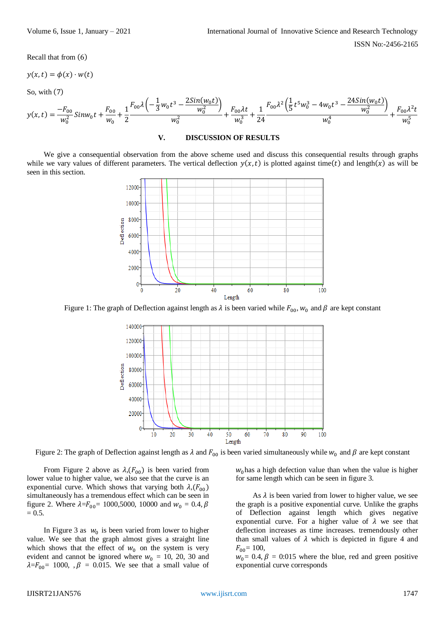Recall that from (6)

$$
y(x,t) = \phi(x) \cdot w(t)
$$

So, with (7)

$$
y(x,t) = \frac{-F_{00}}{w_0^2} Sinw_0 t + \frac{F_{00}}{w_0} + \frac{1}{2} \frac{F_{00} \lambda \left(-\frac{1}{3} w_0 t^3 - \frac{2 Sin(w_0 t)}{w_0^2}\right)}{w_0^2} + \frac{F_{00} \lambda t}{w_0^3} + \frac{1}{24} \frac{F_{00} \lambda^2 \left(\frac{1}{5} t^5 w_0^3 - 4 w_0 t^3 - \frac{24 Sin(w_0 t)}{w_0^2}\right)}{w_0^4} + \frac{F_{00} \lambda^2 t}{w_0^5}
$$

### **V. DISCUSSION OF RESULTS**

We give a consequential observation from the above scheme used and discuss this consequential results through graphs while we vary values of different parameters. The vertical deflection  $y(x, t)$  is plotted against time(t) and length(x) as will be seen in this section.



Figure 1: The graph of Deflection against length as  $\lambda$  is been varied while  $F_{00}$ ,  $w_0$  and  $\beta$  are kept constant



Figure 2: The graph of Deflection against length as  $\lambda$  and  $F_{00}$  is been varied simultaneously while  $w_0$  and  $\beta$  are kept constant

From Figure 2 above as  $\lambda$ ,  $(F_{00})$  is been varied from lower value to higher value, we also see that the curve is an exponential curve. Which shows that varying both  $\lambda$ ,  $(F_{00})$ simultaneously has a tremendous effect which can be seen in figure 2. Where  $\lambda = F_{00} = 1000,5000, 10000$  and  $w_0 = 0.4, \beta$  $= 0.5.$ 

In Figure 3 as  $w_0$  is been varied from lower to higher value. We see that the graph almost gives a straight line which shows that the effect of  $w_0$  on the system is very evident and cannot be ignored where  $w_0 = 10$ , 20, 30 and  $\lambda = F_{00} = 1000$ ,  $\beta = 0.015$ . We see that a small value of

 $w_0$  has a high defection value than when the value is higher for same length which can be seen in figure 3.

As  $\lambda$  is been varied from lower to higher value, we see the graph is a positive exponential curve. Unlike the graphs of Deflection against length which gives negative exponential curve. For a higher value of  $\lambda$  we see that deflection increases as time increases. tremendously other than small values of  $\lambda$  which is depicted in figure 4 and  $F_{00} = 100$ ,

 $w_0$  = 0.4,  $\beta$  = 0:015 where the blue, red and green positive exponential curve corresponds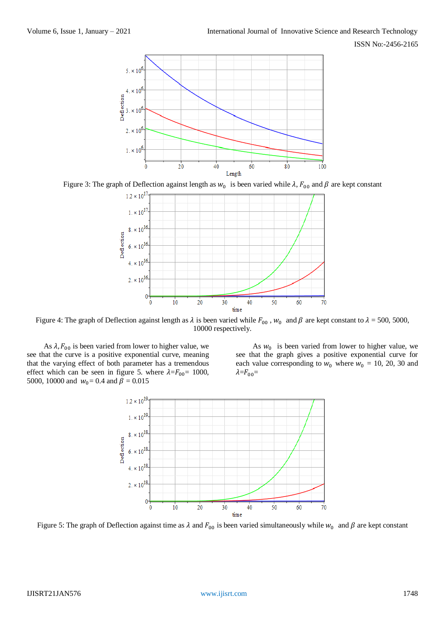

Figure 3: The graph of Deflection against length as  $w_0$  is been varied while  $\lambda$ ,  $F_{00}$  and  $\beta$  are kept constant



Figure 4: The graph of Deflection against length as  $\lambda$  is been varied while  $F_{00}$ ,  $w_0$  and  $\beta$  are kept constant to  $\lambda$  = 500, 5000, 10000 respectively.

As  $\lambda$ ,  $F_{00}$  is been varied from lower to higher value, we see that the curve is a positive exponential curve, meaning that the varying effect of both parameter has a tremendous effect which can be seen in figure 5. where  $\lambda = F_{00} = 1000$ , 5000, 10000 and  $w_0 = 0.4$  and  $\beta = 0.015$ 

As  $w_0$  is been varied from lower to higher value, we see that the graph gives a positive exponential curve for each value corresponding to  $w_0$  where  $w_0 = 10$ , 20, 30 and  $\lambda = F_{00}$ 



Figure 5: The graph of Deflection against time as  $\lambda$  and  $F_{00}$  is been varied simultaneously while  $w_0$  and  $\beta$  are kept constant